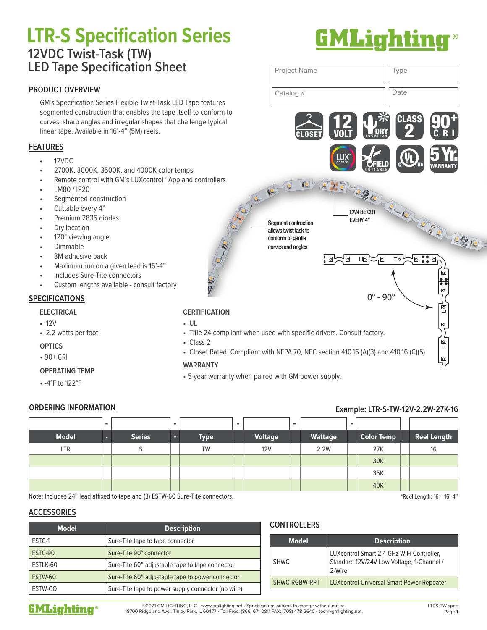# **LTR-S Specification Series** ® **12VDC Twist-Task (TW) LED Tape Specification Sheet**

## **PRODUCT OVERVIEW**

GM's Specification Series Flexible Twist-Task LED Tape features segmented construction that enables the tape itself to conform to curves, sharp angles and irregular shapes that challenge typical linear tape. Available in 16'-4" (5M) reels.

## **FEATURES**

- 12VDC
- 2700K, 3000K, 3500K, and 4000K color temps
- Remote control with GM's LUXcontrol™ App and controllers
- LM80 / IP20
- Segmented construction
- Cuttable every 4"
- Premium 2835 diodes
- Dry location
- 120° viewing angle
- Dimmable
- 3M adhesive back
- Maximum run on a given lead is 16'-4"
- Includes Sure-Tite connectors
- Custom lengths available consult factory

## **SPECIFICATIONS**

### **ELECTRICAL**

- 12V
- 2.2 watts per foot

## **OPTICS**

• 90+ CRI

## **OPERATING TEMP**

• -4°F to 122°F

## **CERTIFICATION**

- UL
- Title 24 compliant when used with specific drivers. Consult factory.

allows twist task to conform to gentle curves and angles

- Class 2
- Closet Rated. Compliant with NFPA 70, NEC section 410.16 (A)(3) and 410.16 (C)(5)

EVERY 4" Segment contruction

CLOSET

 $\epsilon$ 

## **WARRANTY**

• 5-year warranty when paired with GM power supply.

## **ORDERING INFORMATION Example: LTR-S-TW-12V-2.2W-27K-16**

|              | - |               | $\overline{\phantom{0}}$ |             | $\overline{\phantom{0}}$ |                | - |                | $\overline{\phantom{0}}$ |                   |                    |
|--------------|---|---------------|--------------------------|-------------|--------------------------|----------------|---|----------------|--------------------------|-------------------|--------------------|
| <b>Model</b> | o | <b>Series</b> |                          | <b>Type</b> |                          | <b>Voltage</b> |   | <b>Wattage</b> |                          | <b>Color Temp</b> | <b>Reel Length</b> |
| LTR          |   |               |                          | <b>TW</b>   |                          | 12V            |   | 2.2W           |                          | 27K               | 16                 |
|              |   |               |                          |             |                          |                |   |                |                          | 30K               |                    |
|              |   |               |                          |             |                          |                |   |                |                          | 35K               |                    |
|              |   |               |                          |             |                          |                |   |                |                          | 40K               |                    |

Note: Includes 24" lead affixed to tape and (3) ESTW-60 Sure-Tite connectors.

## **ACCESSORIES**

| <b>Model</b> | <b>Description</b>                                 |
|--------------|----------------------------------------------------|
| ESTC-1       | Sure-Tite tape to tape connector                   |
| ESTC-90      | Sure-Tite 90° connector                            |
| ESTLK-60     | Sure-Tite 60" adjustable tape to tape connector    |
| ESTW-60      | Sure-Tite 60" adjustable tape to power connector   |
| ESTW-CO      | Sure-Tite tape to power supply connector (no wire) |

## **CONTROLLERS**

| <b>Model</b>  | <b>Description</b>                                                                               |
|---------------|--------------------------------------------------------------------------------------------------|
| <b>SHWC</b>   | LUXcontrol Smart 2.4 GHz WiFi Controller,<br>Standard 12V/24V Low Voltage, 1-Channel /<br>2-Wire |
| SHWC-RGBW-RPT | <b>LUXcontrol Universal Smart Power Repeater</b>                                                 |



©2021 GM LIGHTING, LLC • www.gmlighting.net • Specifications subject to change without notice 18700 Ridgeland Ave., Tinley Park, IL 60477 • Toll-Free: (866) 671-0811 FAX: (708) 478-2640 • tech@gmlighting.net ® LTRS-TW-spec

\*Reel Length: 16 = 16'-4"



DRY 2

**OFIELD**<br>CUTTABLE

 $0^\circ$  -  $90^\circ$ 

.<br>1<sup>0</sup>

 $\Box$ ensuremath{\mathsf{O}}

CAN BE CUT

**EXE DON** 

 $\boxed{\circ}$  $\Box$ ensuremath{\mathsf{D}}

 $\overline{a}$ 

5 Yr. WARRANTY

 $\overline{\circ}$ 

 $\overline{\circ}$ 

 $\frac{1}{2}$ ◙

e<br>B  $\circ$ 

!◙ \$¦\$ ◙

C R I

 $\mathbf{r}$ 

CLASS 90

Project Name  $\vert \vert$  Type

Catalog # Date

12 VOLT